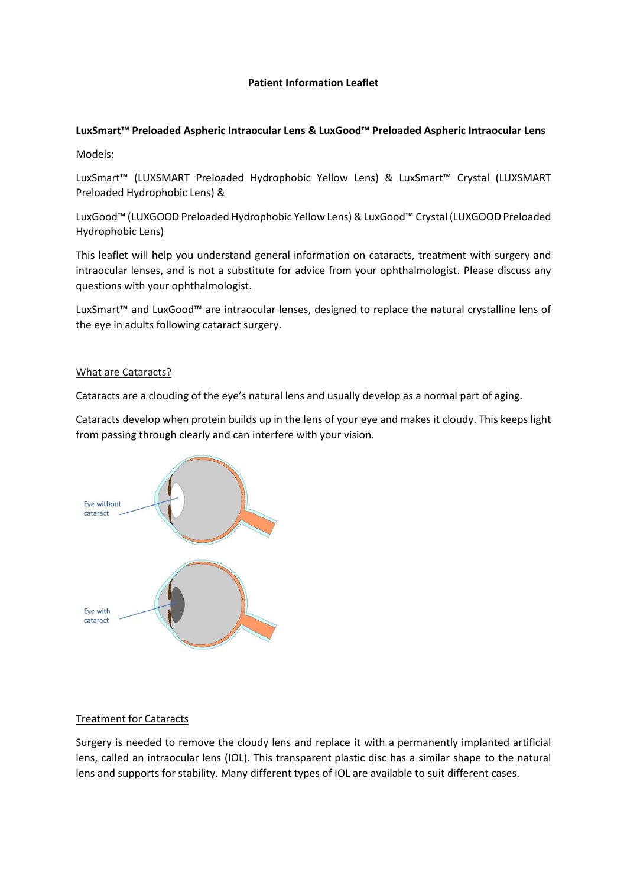# **Patient Information Leaflet**

# **LuxSmart™ Preloaded Aspheric Intraocular Lens & LuxGood™ Preloaded Aspheric Intraocular Lens**

Models:

LuxSmart™ (LUXSMART Preloaded Hydrophobic Yellow Lens) & LuxSmart™ Crystal (LUXSMART Preloaded Hydrophobic Lens) &

LuxGood™ (LUXGOOD Preloaded Hydrophobic Yellow Lens)& LuxGood™ Crystal (LUXGOOD Preloaded Hydrophobic Lens)

This leaflet will help you understand general information on cataracts, treatment with surgery and intraocular lenses, and is not a substitute for advice from your ophthalmologist. Please discuss any questions with your ophthalmologist.

LuxSmart™ and LuxGood™ are intraocular lenses, designed to replace the natural crystalline lens of the eye in adults following cataract surgery.

### What are Cataracts?

Cataracts are a clouding of the eye's natural lens and usually develop as a normal part of aging.

Cataracts develop when protein builds up in the lens of your eye and makes it cloudy. This keeps light from passing through clearly and can interfere with your vision.



### Treatment for Cataracts

Surgery is needed to remove the cloudy lens and replace it with a permanently implanted artificial lens, called an intraocular lens (IOL). This transparent plastic disc has a similar shape to the natural lens and supports for stability. Many different types of IOL are available to suit different cases.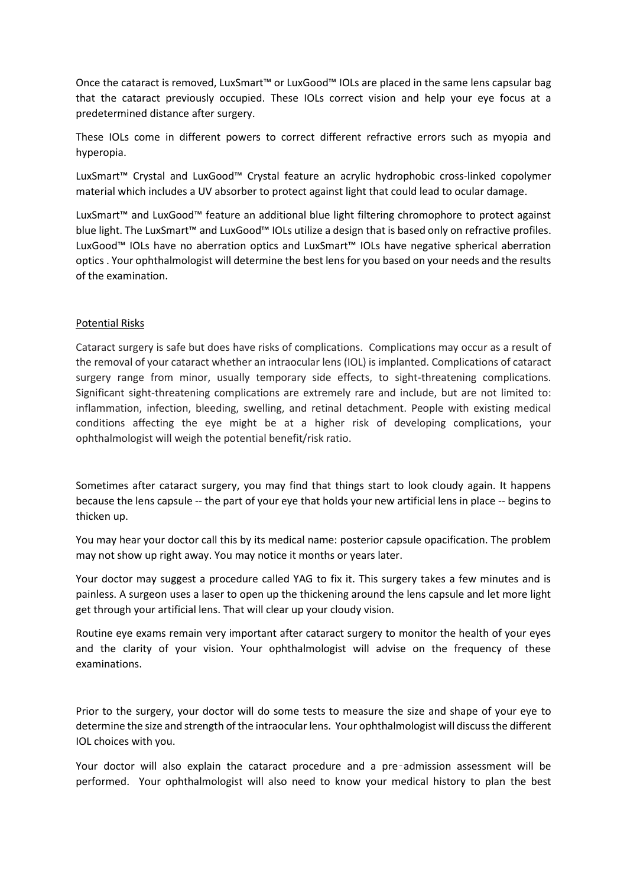Once the cataract is removed, LuxSmart™ or LuxGood™ IOLs are placed in the same lens capsular bag that the cataract previously occupied. These IOLs correct vision and help your eye focus at a predetermined distance after surgery.

These IOLs come in different powers to correct different refractive errors such as myopia and hyperopia.

LuxSmart™ Crystal and LuxGood™ Crystal feature an acrylic hydrophobic cross-linked copolymer material which includes a UV absorber to protect against light that could lead to ocular damage.

LuxSmart™ and LuxGood™ feature an additional blue light filtering chromophore to protect against blue light. The LuxSmart™ and LuxGood™ IOLs utilize a design that is based only on refractive profiles. LuxGood™ IOLs have no aberration optics and LuxSmart™ IOLs have negative spherical aberration optics . Your ophthalmologist will determine the best lens for you based on your needs and the results of the examination.

### Potential Risks

Cataract surgery is safe but does have risks of complications. Complications may occur as a result of the removal of your cataract whether an intraocular lens (IOL) is implanted. Complications of cataract surgery range from minor, usually temporary side effects, to sight-threatening complications. Significant sight-threatening complications are extremely rare and include, but are not limited to: inflammation, infection, bleeding, swelling, and retinal detachment. People with existing medical conditions affecting the eye might be at a higher risk of developing complications, your ophthalmologist will weigh the potential benefit/risk ratio.

Sometimes after cataract surgery, you may find that things start to look cloudy again. It happens because the lens capsule -- the part of your eye that holds your new artificial lens in place -- begins to thicken up.

You may hear your doctor call this by its medical name: posterior capsule opacification. The problem may not show up right away. You may notice it months or years later.

Your doctor may suggest a procedure called YAG to fix it. This surgery takes a few minutes and is painless. A surgeon uses a laser to open up the thickening around the lens capsule and let more light get through your artificial lens. That will clear up your cloudy vision.

Routine eye exams remain very important after cataract surgery to monitor the health of your eyes and the clarity of your vision. Your ophthalmologist will advise on the frequency of these examinations.

Prior to the surgery, your doctor will do some tests to measure the size and shape of your eye to determine the size and strength of the intraocular lens. Your ophthalmologist will discuss the different IOL choices with you.

Your doctor will also explain the cataract procedure and a pre-admission assessment will be performed. Your ophthalmologist will also need to know your medical history to plan the best